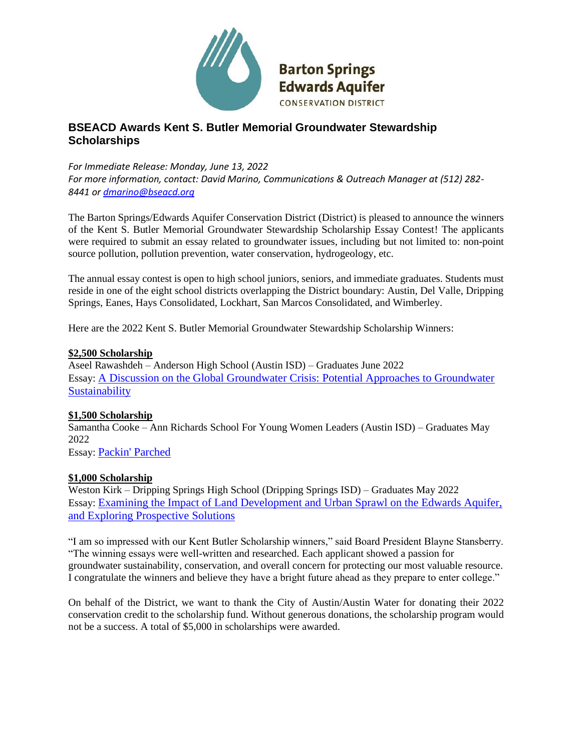

# **BSEACD Awards Kent S. Butler Memorial Groundwater Stewardship Scholarships**

*For Immediate Release: Monday, June 13, 2022 For more information, contact: David Marino, Communications & Outreach Manager at (512) 282- 8441 o[r dmarino@bseacd.org](mailto:dmarino@bseacd.org)*

The Barton Springs/Edwards Aquifer Conservation District (District) is pleased to announce the winners of the Kent S. Butler Memorial Groundwater Stewardship Scholarship Essay Contest! The applicants were required to submit an essay related to groundwater issues, including but not limited to: non-point source pollution, pollution prevention, water conservation, hydrogeology, etc.

The annual essay contest is open to high school juniors, seniors, and immediate graduates. Students must reside in one of the eight school districts overlapping the District boundary: Austin, Del Valle, Dripping Springs, Eanes, Hays Consolidated, Lockhart, San Marcos Consolidated, and Wimberley.

Here are the 2022 Kent S. Butler Memorial Groundwater Stewardship Scholarship Winners:

#### **\$2,500 Scholarship**

Aseel Rawashdeh – Anderson High School (Austin ISD) – Graduates June 2022 Essay: [A Discussion on the Global Groundwater Crisis: Potential Approaches to Groundwater](https://bseacd.org/uploads/Aseel-Rawashdeh-Website-Version.pdf)  **[Sustainability](https://bseacd.org/uploads/Aseel-Rawashdeh-Website-Version.pdf)** 

### **\$1,500 Scholarship**

Samantha Cooke – Ann Richards School For Young Women Leaders (Austin ISD) – Graduates May 2022

Essay: [Packin' Parched](https://bseacd.org/uploads/Samantha-Cooke-Website-Version.pdf)

### **\$1,000 Scholarship**

Weston Kirk – Dripping Springs High School (Dripping Springs ISD) – Graduates May 2022 Essay: [Examining the Impact of Land Development and Urban Sprawl on the Edwards Aquifer,](https://bseacd.org/uploads/Weston-Kirk-Website-Version-1.pdf)  [and Exploring Prospective Solutions](https://bseacd.org/uploads/Weston-Kirk-Website-Version-1.pdf)

"I am so impressed with our Kent Butler Scholarship winners," said Board President Blayne Stansberry. "The winning essays were well-written and researched. Each applicant showed a passion for groundwater sustainability, conservation, and overall concern for protecting our most valuable resource. I congratulate the winners and believe they have a bright future ahead as they prepare to enter college."

On behalf of the District, we want to thank the City of Austin/Austin Water for donating their 2022 conservation credit to the scholarship fund. Without generous donations, the scholarship program would not be a success. A total of \$5,000 in scholarships were awarded.